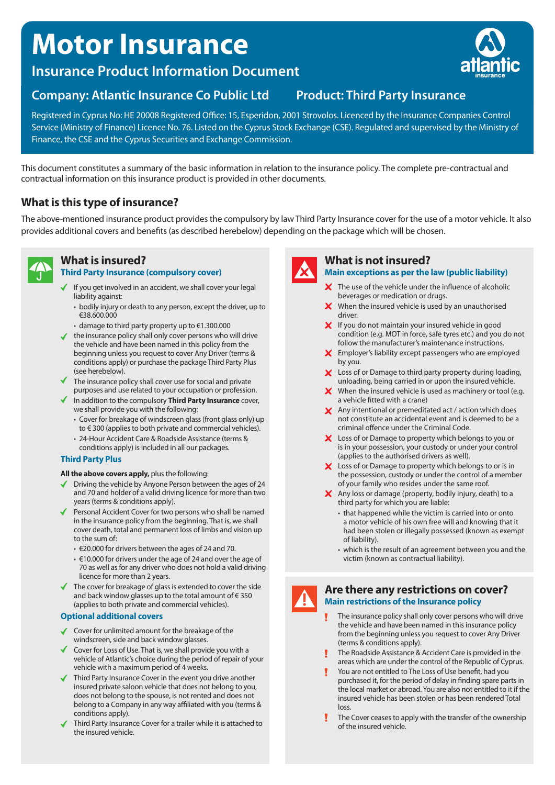# **Motor Insurance**

**Insurance Product Information Document**

#### **Company: Atlantic Insurance Co Public Ltd Product: Third Party Insurance**

Registered in Cyprus No: HE 20008 Registered Office: 15, Esperidon, 2001 Strovolos. Licenced by the Insurance Companies Control Service (Ministry of Finance) Licence No. 76. Listed on the Cyprus Stock Exchange (CSE). Regulated and supervised by the Ministry of Finance, the CSE and the Cyprus Securities and Exchange Commission.

This document constitutes a summary of the basic information in relation to the insurance policy. The complete pre-contractual and contractual information on this insurance product is provided in other documents.

#### **What is this type of insurance?**

The above-mentioned insurance product provides the compulsory by law Third Party Insurance cover for the use of a motor vehicle. It also provides additional covers and benefits (as described herebelow) depending on the package which will be chosen.

### **What is insured?**

#### **Third Party Insurance (compulsory cover)**

- If you get involved in an accident, we shall cover your legal liability against:
	- bodily injury or death to any person, except the driver, up to €38.600.000
	- damage to third party property up to €1.300.000
- $\blacklozenge$  the insurance policy shall only cover persons who will drive the vehicle and have been named in this policy from the beginning unless you request to cover Any Driver (terms & conditions apply) or purchase the package Third Party Plus (see herebelow).
- $\blacklozenge$  The insurance policy shall cover use for social and private purposes and use related to your occupation or profession.
- In addition to the compulsory **Third Party Insurance** cover, we shall provide you with the following:
	- Cover for breakage of windscreen glass (front glass only) up to € 300 (applies to both private and commercial vehicles).
	- 24-Hour Accident Care & Roadside Assistance (terms & conditions apply) is included in all our packages.

#### **Third Party Plus**

#### **All the above covers apply,** plus the following:

- Driving the vehicle by Anyone Person between the ages of 24 and 70 and holder of a valid driving licence for more than two years (terms & conditions apply).
- Personal Accident Cover for two persons who shall be named in the insurance policy from the beginning. That is, we shall cover death, total and permanent loss of limbs and vision up to the sum of:
	- €20.000 for drivers between the ages of 24 and 70.
	- €10.000 for drivers under the age of 24 and over the age of 70 as well as for any driver who does not hold a valid driving licence for more than 2 years.
- The cover for breakage of glass is extended to cover the side and back window glasses up to the total amount of € 350 (applies to both private and commercial vehicles).

#### **Optional additional covers**

- ◆ Cover for unlimited amount for the breakage of the windscreen, side and back window glasses.
- Cover for Loss of Use. That is, we shall provide you with a vehicle of Atlantic's choice during the period of repair of your vehicle with a maximum period of 4 weeks.
- Third Party Insurance Cover in the event you drive another insured private saloon vehicle that does not belong to you, does not belong to the spouse, is not rented and does not belong to a Company in any way affiliated with you (terms & conditions apply).
- Third Party Insurance Cover for a trailer while it is attached to the insured vehicle.

## **What is not insured?**

#### **Main exceptions as per the law (public liability)**

- $\boldsymbol{\times}$  The use of the vehicle under the influence of alcoholic beverages or medication or drugs.
- $\boldsymbol{\times}$  When the insured vehicle is used by an unauthorised driver.
- X If you do not maintain your insured vehicle in good condition (e.g. MOT in force, safe tyres etc.) and you do not follow the manufacturer's maintenance instructions.
- **X** Employer's liability except passengers who are employed by you.
- X Loss of or Damage to third party property during loading, unloading, being carried in or upon the insured vehicle.
- **X** When the insured vehicle is used as machinery or tool (e.g. a vehicle fitted with a crane)
- $\mathbf X$  Any intentional or premeditated act / action which does not constitute an accidental event and is deemed to be a criminal offence under the Criminal Code.
- X Loss of or Damage to property which belongs to you or is in your possession, your custody or under your control (applies to the authorised drivers as well).
- X Loss of or Damage to property which belongs to or is in the possession, custody or under the control of a member of your family who resides under the same roof.
- $\boldsymbol{\times}$  Any loss or damage (property, bodily injury, death) to a third party for which you are liable:
	- that happened while the victim is carried into or onto a motor vehicle of his own free will and knowing that it had been stolen or illegally possessed (known as exempt of liability).
	- which is the result of an agreement between you and the victim (known as contractual liability).

#### **Are there any restrictions on cover? Main restrictions of the Insurance policy**

- The insurance policy shall only cover persons who will drive the vehicle and have been named in this insurance policy from the beginning unless you request to cover Any Driver (terms & conditions apply).
- The Roadside Assistance & Accident Care is provided in the areas which are under the control of the Republic of Cyprus.
- You are not entitled to The Loss of Use benefit, had you purchased it, for the period of delay in finding spare parts in the local market or abroad. You are also not entitled to it if the insured vehicle has been stolen or has been rendered Total loss.
- The Cover ceases to apply with the transfer of the ownership of the insured vehicle.